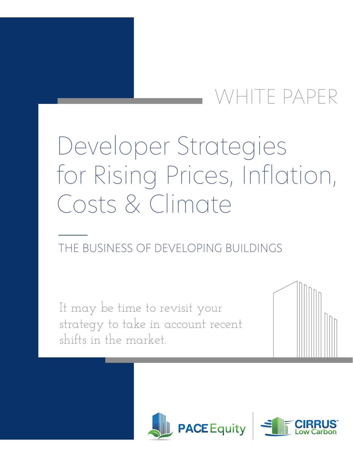# WHITE PAPER

# $\sim$  Shifting Priorities and Markets and Markets and Markets and Markets and Markets and Markets and Markets and Markets and Markets and Markets and Markets and Markets and Markets and Markets and Markets and Markets and THE BUSINESS OF DEVELOPING BUSINESS OF DEVELOPING BUSINESS OF DEVELOPING BUSINESS OF DEVELOPING BUSINESS OF DE Developer Strategies for Rising Prices, Inflation, Costs & Climate

# THE BUSINESS OF DEVELOPING BUILDINGS

It may be time to revisit your strategy to take in account recent shifts in the market.



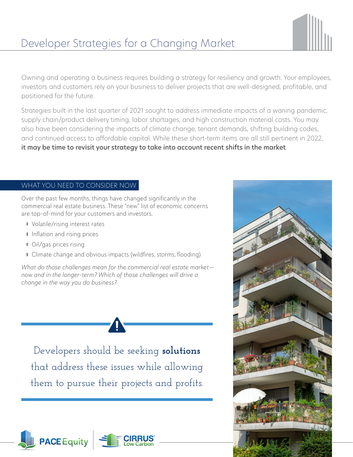## Developer Strategies for a Changing Market



Owning and operating a business requires building a strategy for resiliency and growth. Your employees, investors and customers rely on your business to deliver projects that are well-designed, profitable, and positioned for the future.

Strategies built in the last quarter of 2021 sought to address immediate impacts of a waning pandemic, supply chain/product delivery timing, labor shortages, and high construction material costs. You may also have been considering the impacts of climate change, tenant demands, shifting building codes, and continued access to affordable capital. While these short-term items are all still pertinent in 2022, it may be time to revisit your strategy to take into account recent shifts in the market.

#### WHAT YOU NEED TO CONSIDER NOW

Over the past few months, things have changed significantly in the commercial real estate business. These "new" list of economic concerns are top-of-mind for your customers and investors.

- **Volatile/rising interest rates**
- I Inflation and rising prices
- **Oil/gas prices rising**
- Climate change and obvious impacts (wildfires, storms, flooding)

What do those challenges mean for the commercial real estate marketnow and in the longer-term? Which of those challenges will drive a change in the way you do business?

Developers should be seeking **solutions** that address these issues while allowing them to pursue their projects and profits.



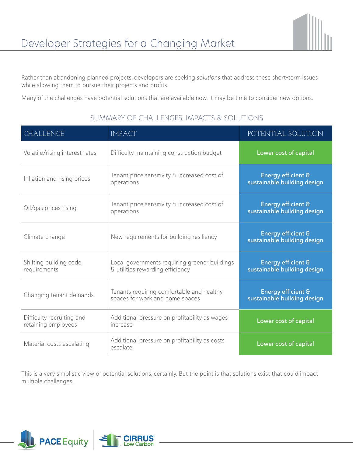Rather than abandoning planned projects, developers are seeking solutions that address these short-term issues while allowing them to pursue their projects and profits.

Many of the challenges have potential solutions that are available now. It may be time to consider new options.

| CHALLENGE                                        | <b>IMPACT</b>                                                                     | POTENTIAL SOLUTION                                           |
|--------------------------------------------------|-----------------------------------------------------------------------------------|--------------------------------------------------------------|
| Volatile/rising interest rates                   | Difficulty maintaining construction budget                                        | Lower cost of capital                                        |
| Inflation and rising prices                      | Tenant price sensitivity & increased cost of<br>operations                        | <b>Energy efficient &amp;</b><br>sustainable building design |
| Oil/gas prices rising                            | Tenant price sensitivity & increased cost of<br>operations                        | <b>Energy efficient &amp;</b><br>sustainable building design |
| Climate change                                   | New requirements for building resiliency                                          | <b>Energy efficient &amp;</b><br>sustainable building design |
| Shifting building code<br>requirements           | Local governments requiring greener buildings<br>& utilities rewarding efficiency | <b>Energy efficient &amp;</b><br>sustainable building design |
| Changing tenant demands                          | Tenants requiring comfortable and healthy<br>spaces for work and home spaces      | <b>Energy efficient &amp;</b><br>sustainable building design |
| Difficulty recruiting and<br>retaining employees | Additional pressure on profitability as wages<br>increase                         | Lower cost of capital                                        |
| Material costs escalating                        | Additional pressure on profitability as costs<br>escalate                         | Lower cost of capital                                        |

### SUMMARY OF CHALLENGES, IMPACTS & SOLUTIONS

This is a very simplistic view of potential solutions, certainly. But the point is that solutions exist that could impact multiple challenges.

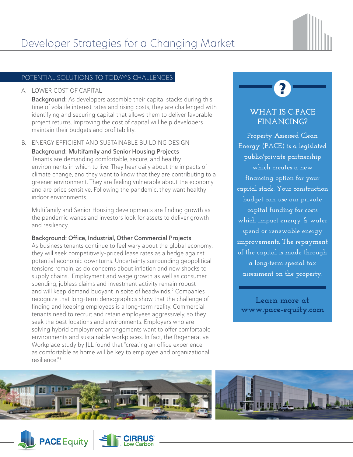

### POTENTIAL SOLUTIONS TO TODAY'S CHALLENGES

#### A. LOWER COST OF CAPITAL

Background: As developers assemble their capital stacks during this time of volatile interest rates and rising costs, they are challenged with identifying and securing capital that allows them to deliver favorable project returns. Improving the cost of capital will help developers maintain their budgets and profitability.

#### B. ENERGY EFFICIENT AND SUSTAINABLE BUILDING DESIGN

Background: Multifamily and Senior Housing Projects Tenants are demanding comfortable, secure, and healthy environments in which to live. They hear daily about the impacts of climate change, and they want to know that they are contributing to a greener environment. They are feeling vulnerable about the economy and are price sensitive. Following the pandemic, they want healthy indoor environments.<sup>1</sup>

Multifamily and Senior Housing developments are finding growth as the pandemic wanes and investors look for assets to deliver growth and resiliency.

#### Background: Office, Industrial, Other Commercial Projects

As business tenants continue to feel wary about the global economy, they will seek competitively-priced lease rates as a hedge against potential economic downturns. Uncertainty surrounding geopolitical tensions remain, as do concerns about inflation and new shocks to supply chains. Employment and wage growth as well as consumer spending, jobless claims and investment activity remain robust and will keep demand buoyant in spite of headwinds.<sup>2</sup> Companies recognize that long-term demographics show that the challenge of finding and keeping employees is a long-term reality. Commercial tenants need to recruit and retain employees aggressively, so they seek the best locations and environments. Employers who are solving hybrid employment arrangements want to offer comfortable environments and sustainable workplaces. In fact, the Regenerative Workplace study by JLL found that "creating an office experience as comfortable as home will be key to employee and organizational resilience."3

## **WHAT IS C-PACE FINANCING?**

**Property Assessed Clean Energy (PACE) is a legislated public/private partnership which creates a new financing option for your capital stack. Your construction budget can use our private capital funding for costs which impact energy & water spend or renewable energy improvements. The repayment of the capital is made through a long-term special tax assessment on the property.**

**Learn more at [www.pace-equity.com](https://www.pace-equity.com/how-pace-financing-works/)**